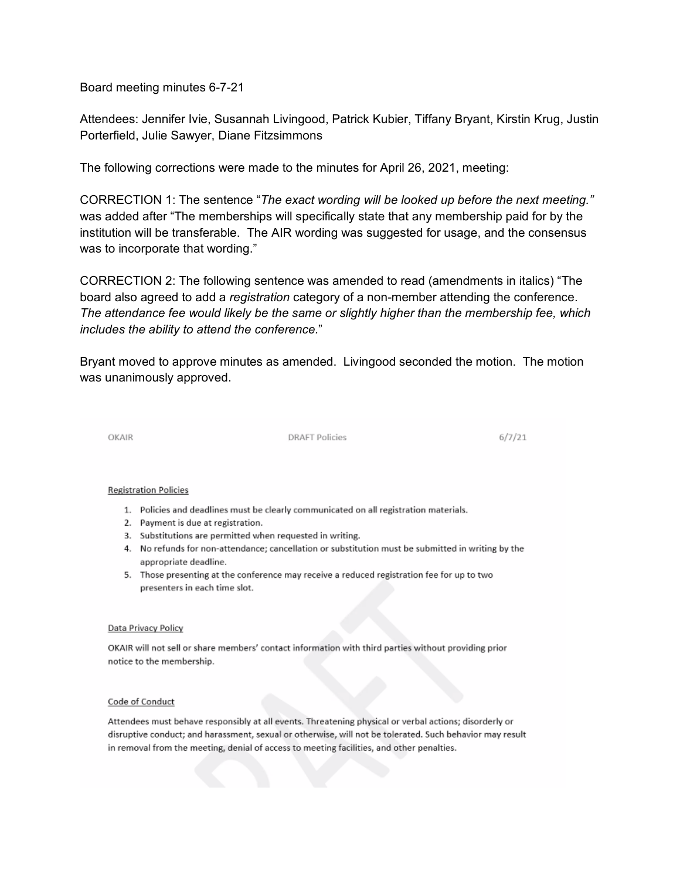Board meeting minutes 6-7-21

Attendees: Jennifer Ivie, Susannah Livingood, Patrick Kubier, Tiffany Bryant, Kirstin Krug, Justin Porterfield, Julie Sawyer, Diane Fitzsimmons

The following corrections were made to the minutes for April 26, 2021, meeting:

CORRECTION 1: The sentence "*The exact wording will be looked up before the next meeting."*  was added after "The memberships will specifically state that any membership paid for by the institution will be transferable. The AIR wording was suggested for usage, and the consensus was to incorporate that wording."

CORRECTION 2: The following sentence was amended to read (amendments in italics) "The board also agreed to add a *registration* category of a non-member attending the conference. *The attendance fee would likely be the same or slightly higher than the membership fee, which includes the ability to attend the conference.*"

Bryant moved to approve minutes as amended. Livingood seconded the motion. The motion was unanimously approved.

OKAIR

**DRAFT Policies** 

 $6/7/21$ 

## **Registration Policies**

- 1. Policies and deadlines must be clearly communicated on all registration materials.
- 2. Payment is due at registration.
- 3. Substitutions are permitted when requested in writing.
- 4. No refunds for non-attendance; cancellation or substitution must be submitted in writing by the appropriate deadline.
- 5. Those presenting at the conference may receive a reduced registration fee for up to two presenters in each time slot.

## Data Privacy Policy

OKAIR will not sell or share members' contact information with third parties without providing prior notice to the membership.

## Code of Conduct

Attendees must behave responsibly at all events. Threatening physical or verbal actions; disorderly or disruptive conduct; and harassment, sexual or otherwise, will not be tolerated. Such behavior may result in removal from the meeting, denial of access to meeting facilities, and other penalties.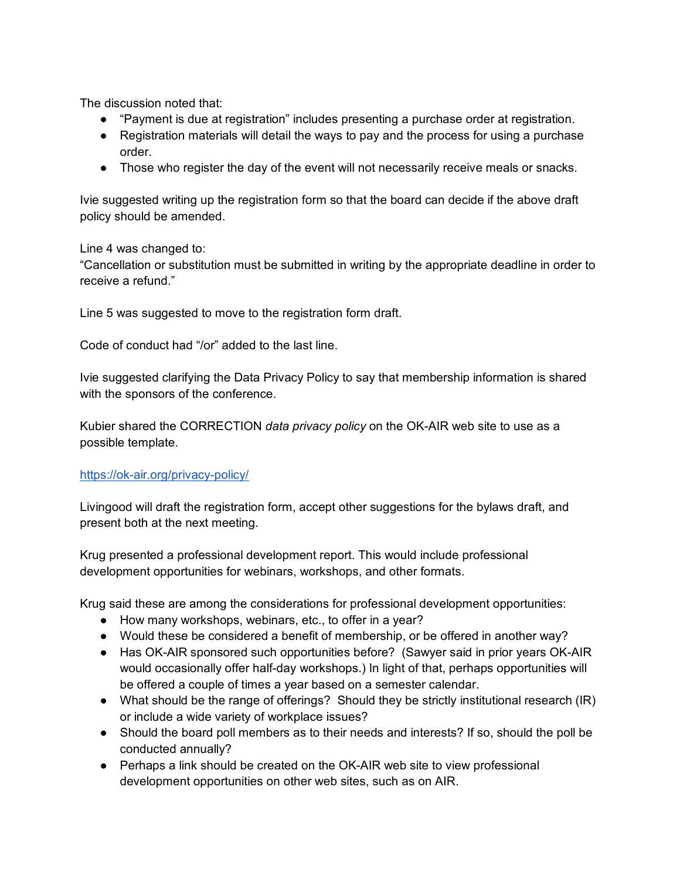The discussion noted that:

- "Payment is due at registration" includes presenting a purchase order at registration.
- Registration materials will detail the ways to pay and the process for using a purchase order.
- Those who register the day of the event will not necessarily receive meals or snacks.

Ivie suggested writing up the registration form so that the board can decide if the above draft policy should be amended.

Line 4 was changed to:

"Cancellation or substitution must be submitted in writing by the appropriate deadline in order to receive a refund."

Line 5 was suggested to move to the registration form draft.

Code of conduct had "/or" added to the last line.

Ivie suggested clarifying the Data Privacy Policy to say that membership information is shared with the sponsors of the conference.

Kubier shared the CORRECTION *data privacy policy* on the OK-AIR web site to use as a possible template.

## <https://ok-air.org/privacy-policy/>

Livingood will draft the registration form, accept other suggestions for the bylaws draft, and present both at the next meeting.

Krug presented a professional development report. This would include professional development opportunities for webinars, workshops, and other formats.

Krug said these are among the considerations for professional development opportunities:

- How many workshops, webinars, etc., to offer in a year?
- Would these be considered a benefit of membership, or be offered in another way?
- Has OK-AIR sponsored such opportunities before? (Sawyer said in prior years OK-AIR would occasionally offer half-day workshops.) In light of that, perhaps opportunities will be offered a couple of times a year based on a semester calendar.
- What should be the range of offerings? Should they be strictly institutional research (IR) or include a wide variety of workplace issues?
- Should the board poll members as to their needs and interests? If so, should the poll be conducted annually?
- Perhaps a link should be created on the OK-AIR web site to view professional development opportunities on other web sites, such as on AIR.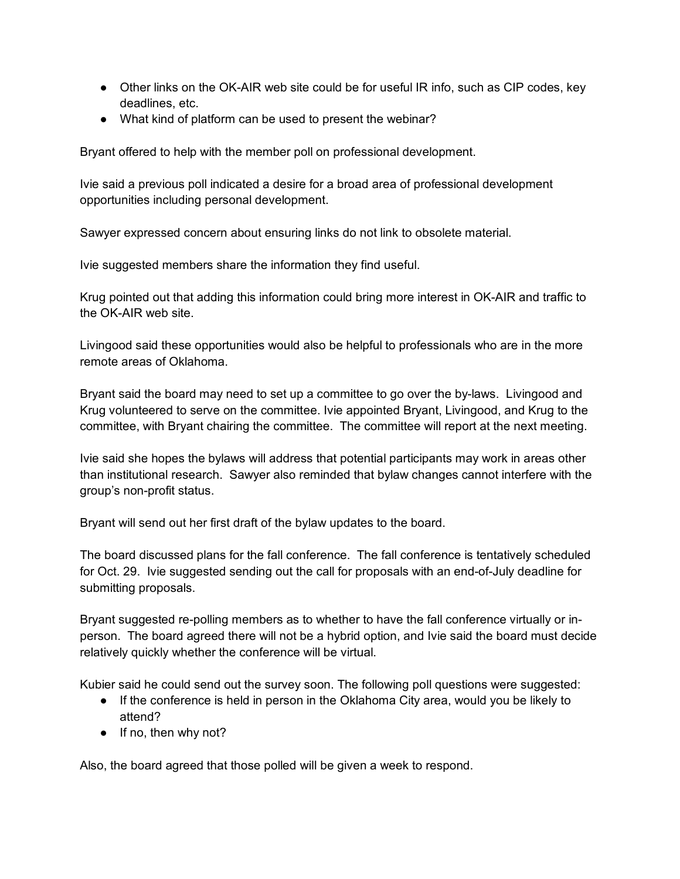- Other links on the OK-AIR web site could be for useful IR info, such as CIP codes, key deadlines, etc.
- What kind of platform can be used to present the webinar?

Bryant offered to help with the member poll on professional development.

Ivie said a previous poll indicated a desire for a broad area of professional development opportunities including personal development.

Sawyer expressed concern about ensuring links do not link to obsolete material.

Ivie suggested members share the information they find useful.

Krug pointed out that adding this information could bring more interest in OK-AIR and traffic to the OK-AIR web site.

Livingood said these opportunities would also be helpful to professionals who are in the more remote areas of Oklahoma.

Bryant said the board may need to set up a committee to go over the by-laws. Livingood and Krug volunteered to serve on the committee. Ivie appointed Bryant, Livingood, and Krug to the committee, with Bryant chairing the committee. The committee will report at the next meeting.

Ivie said she hopes the bylaws will address that potential participants may work in areas other than institutional research. Sawyer also reminded that bylaw changes cannot interfere with the group's non-profit status.

Bryant will send out her first draft of the bylaw updates to the board.

The board discussed plans for the fall conference. The fall conference is tentatively scheduled for Oct. 29. Ivie suggested sending out the call for proposals with an end-of-July deadline for submitting proposals.

Bryant suggested re-polling members as to whether to have the fall conference virtually or inperson. The board agreed there will not be a hybrid option, and Ivie said the board must decide relatively quickly whether the conference will be virtual.

Kubier said he could send out the survey soon. The following poll questions were suggested:

- If the conference is held in person in the Oklahoma City area, would you be likely to attend?
- If no, then why not?

Also, the board agreed that those polled will be given a week to respond.